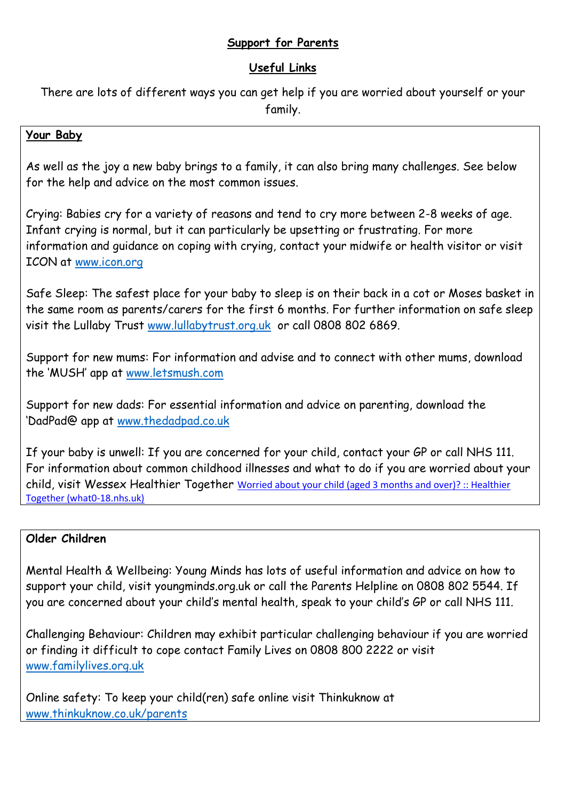# **Support for Parents**

# **Useful Links**

There are lots of different ways you can get help if you are worried about yourself or your family.

# **Your Baby**

As well as the joy a new baby brings to a family, it can also bring many challenges. See below for the help and advice on the most common issues.

Crying: Babies cry for a variety of reasons and tend to cry more between 2-8 weeks of age. Infant crying is normal, but it can particularly be upsetting or frustrating. For more information and guidance on coping with crying, contact your midwife or health visitor or visit ICON at [www.icon.org](http://www.icon.org/)

Safe Sleep: The safest place for your baby to sleep is on their back in a cot or Moses basket in the same room as parents/carers for the first 6 months. For further information on safe sleep visit the Lullaby Trust [www.lullabytrust.org.uk](http://www.lullabytrust.org.uk/) or call 0808 802 6869.

Support for new mums: For information and advise and to connect with other mums, download the 'MUSH' app at [www.letsmush.com](http://www.letsmush.com/)

Support for new dads: For essential information and advice on parenting, download the 'DadPad@ app at [www.thedadpad.co.uk](http://www.thedadpad.co.uk/)

If your baby is unwell: If you are concerned for your child, contact your GP or call NHS 111. For information about common childhood illnesses and what to do if you are worried about your child, visit Wessex Healthier Together [Worried about your child \(aged 3 months and over\)? :: Healthier](https://what0-18.nhs.uk/parentscarers/worried-your-child-unwell)  [Together \(what0-18.nhs.uk\)](https://what0-18.nhs.uk/parentscarers/worried-your-child-unwell)

# **Older Children**

Mental Health & Wellbeing: Young Minds has lots of useful information and advice on how to support your child, visit youngminds.org.uk or call the Parents Helpline on 0808 802 5544. If you are concerned about your child's mental health, speak to your child's GP or call NHS 111.

Challenging Behaviour: Children may exhibit particular challenging behaviour if you are worried or finding it difficult to cope contact Family Lives on 0808 800 2222 or visit [www.familylives.org.uk](http://www.familylives.org.uk/)

Online safety: To keep your child(ren) safe online visit Thinkuknow at [www.thinkuknow.co.uk/parents](http://www.thinkuknow.co.uk/parents)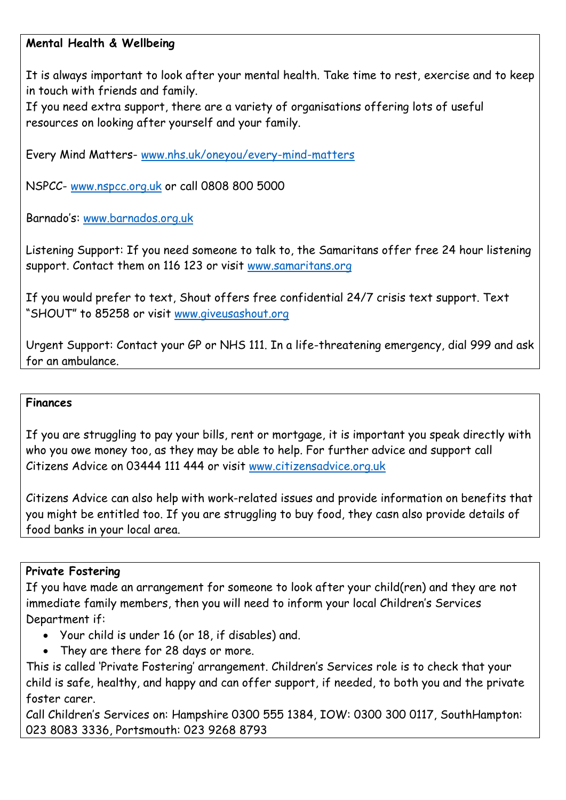# **Mental Health & Wellbeing**

It is always important to look after your mental health. Take time to rest, exercise and to keep in touch with friends and family.

If you need extra support, there are a variety of organisations offering lots of useful resources on looking after yourself and your family.

Every Mind Matters- [www.nhs.uk/oneyou/every-mind-matters](http://www.nhs.uk/oneyou/every-mind-matters)

NSPCC- [www.nspcc.org.uk](http://www.nspcc.org.uk/) or call 0808 800 5000

Barnado's: [www.barnados.org.uk](http://www.barnados.org.uk/)

Listening Support: If you need someone to talk to, the Samaritans offer free 24 hour listening support. Contact them on 116 123 or visit [www.samaritans.org](http://www.samaritans.org/)

If you would prefer to text, Shout offers free confidential 24/7 crisis text support. Text "SHOUT" to 85258 or visit [www.giveusashout.org](http://www.giveusashout.org/)

Urgent Support: Contact your GP or NHS 111. In a life-threatening emergency, dial 999 and ask for an ambulance.

### **Finances**

If you are struggling to pay your bills, rent or mortgage, it is important you speak directly with who you owe money too, as they may be able to help. For further advice and support call Citizens Advice on 03444 111 444 or visit [www.citizensadvice.org.uk](http://www.citizensadvice.org.uk/)

Citizens Advice can also help with work-related issues and provide information on benefits that you might be entitled too. If you are struggling to buy food, they casn also provide details of food banks in your local area.

# **Private Fostering**

If you have made an arrangement for someone to look after your child(ren) and they are not immediate family members, then you will need to inform your local Children's Services Department if:

- Your child is under 16 (or 18, if disables) and.
- They are there for 28 days or more.

This is called 'Private Fostering' arrangement. Children's Services role is to check that your child is safe, healthy, and happy and can offer support, if needed, to both you and the private foster carer.

Call Children's Services on: Hampshire 0300 555 1384, IOW: 0300 300 0117, SouthHampton: 023 8083 3336, Portsmouth: 023 9268 8793